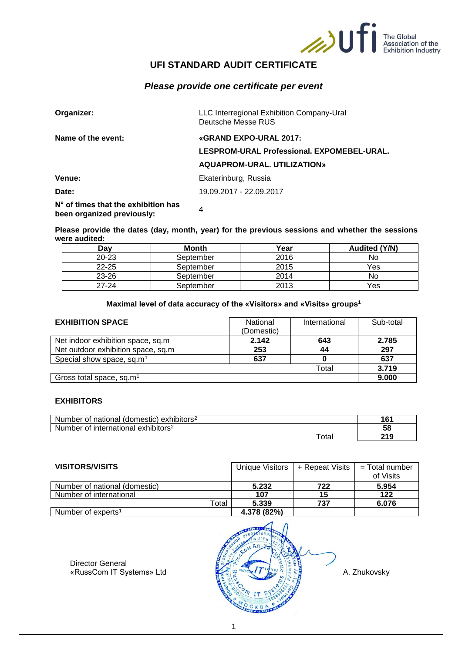

The Global<br>Association of the<br>Exhibition Industry

# **UFI STANDARD AUDIT CERTIFICATE**

# *Please provide one certificate per event*

| Organizer:                                                                 | LLC Interregional Exhibition Company-Ural<br>Deutsche Messe RUS |  |
|----------------------------------------------------------------------------|-----------------------------------------------------------------|--|
| Name of the event:                                                         | «GRAND EXPO-URAL 2017:                                          |  |
|                                                                            | LESPROM-URAL Professional. EXPOMEBEL-URAL.                      |  |
|                                                                            | AQUAPROM-URAL, UTILIZATION»                                     |  |
| Venue:                                                                     | Ekaterinburg, Russia                                            |  |
| Date:                                                                      | 19.09.2017 - 22.09.2017                                         |  |
| $N^{\circ}$ of times that the exhibition has<br>been organized previously: | 4                                                               |  |

**Please provide the dates (day, month, year) for the previous sessions and whether the sessions were audited:**

| Dav       | <b>Month</b> | Year | <b>Audited (Y/N)</b> |
|-----------|--------------|------|----------------------|
| $20 - 23$ | September    | 2016 | No                   |
| $22 - 25$ | September    | 2015 | Yes                  |
| 23-26     | September    | 2014 | No                   |
| 27-24     | September    | 2013 | Yes                  |

## **Maximal level of data accuracy of the «Visitors» and «Visits» groups<sup>1</sup>**

| <b>EXHIBITION SPACE</b>               | National<br>(Domestic) | International | Sub-total |
|---------------------------------------|------------------------|---------------|-----------|
| Net indoor exhibition space, sq.m.    | 2.142                  | 643           | 2.785     |
| Net outdoor exhibition space, sq.m.   | 253                    | 44            | 297       |
| Special show space, sq.m <sup>1</sup> | 637                    |               | 637       |
|                                       |                        | Total         | 3.719     |
| Gross total space, sq.m <sup>1</sup>  |                        |               | 9.000     |

#### **EXHIBITORS**

| Number<br>of national<br>$(domestic)$ exhibitors <sup>2</sup>     | 16'        |
|-------------------------------------------------------------------|------------|
| <b>Number</b><br>∶ international<br>exhibitors <sup>2</sup><br>Οt | E O<br>ುರಿ |
| <sup>-</sup> otai                                                 | ົາ4 ດ      |

| <b>VISITORS/VISITS</b>         |             | Unique Visitors   + Repeat Visits | = Total number<br>of Visits |
|--------------------------------|-------------|-----------------------------------|-----------------------------|
| Number of national (domestic)  | 5.232       | 722                               | 5.954                       |
| Number of international        | 107         | 15                                | 122                         |
| Total                          | 5.339       | 737                               | 6.076                       |
| Number of experts <sup>1</sup> | 4.378 (82%) |                                   |                             |

Director General

«RussCom IT Systems» Ltd A. Zhukovsky A. Zhukovsky